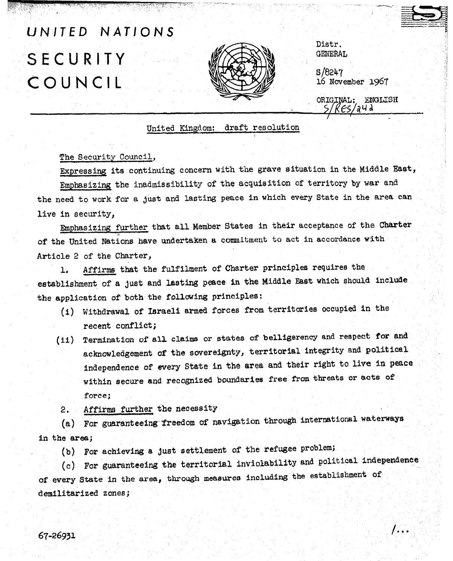## UNITED NATIONS 5ECURITY COUNCIL



Distr. **GENERAL** 

 $S/8247$ 1.6 November 196'7 b/ ,<br>j : in de la production de la production de la production de la production de la production de la production<br>j : in de la production de la production de la production de la production de la production de la production<br>j

ORIGINAL: ENGLISH ES/a4d

United Kingdom: draft resolution

The Security Council,

the need to work for a just and lasting peace in which every State in the area can Expressing its continuing concern with the grave situatian in the Middle East, Emphasiziq the inadmissibility of the acquisition of territory by war and live in security,

Emphasizing further that all Member States in their acceptance of the Charter of the United Nations have undertaken a commitment to act in accordance with Article 2 of the Charter,

1. Affirms that the fulfilment of Charter principles requires the establishment of a just and lasting peace in the Middle East which should include the application of both the following principles:

- (i) Withdrawal of Israeli armed forces from territories occupied in the recent conflict;
- (ii) Termination of all claims or states of belligerency and respect for and acknowledgement of the sovereignty, territorial integrity and political independence of every State in the area and their right to live in peace within secure and recognized boundaries free from threats or acts of force;
- 2. Affirms further the necessity

(a) For guaranteeing freedom of navigation through international waterways in the area;

(b) For achieving a just settlement of the refugee problem;

 $(c)$  For guaranteeing the territorial inviolability and political independence of every State in the area, through measures including the establishment of demilitarized zones;